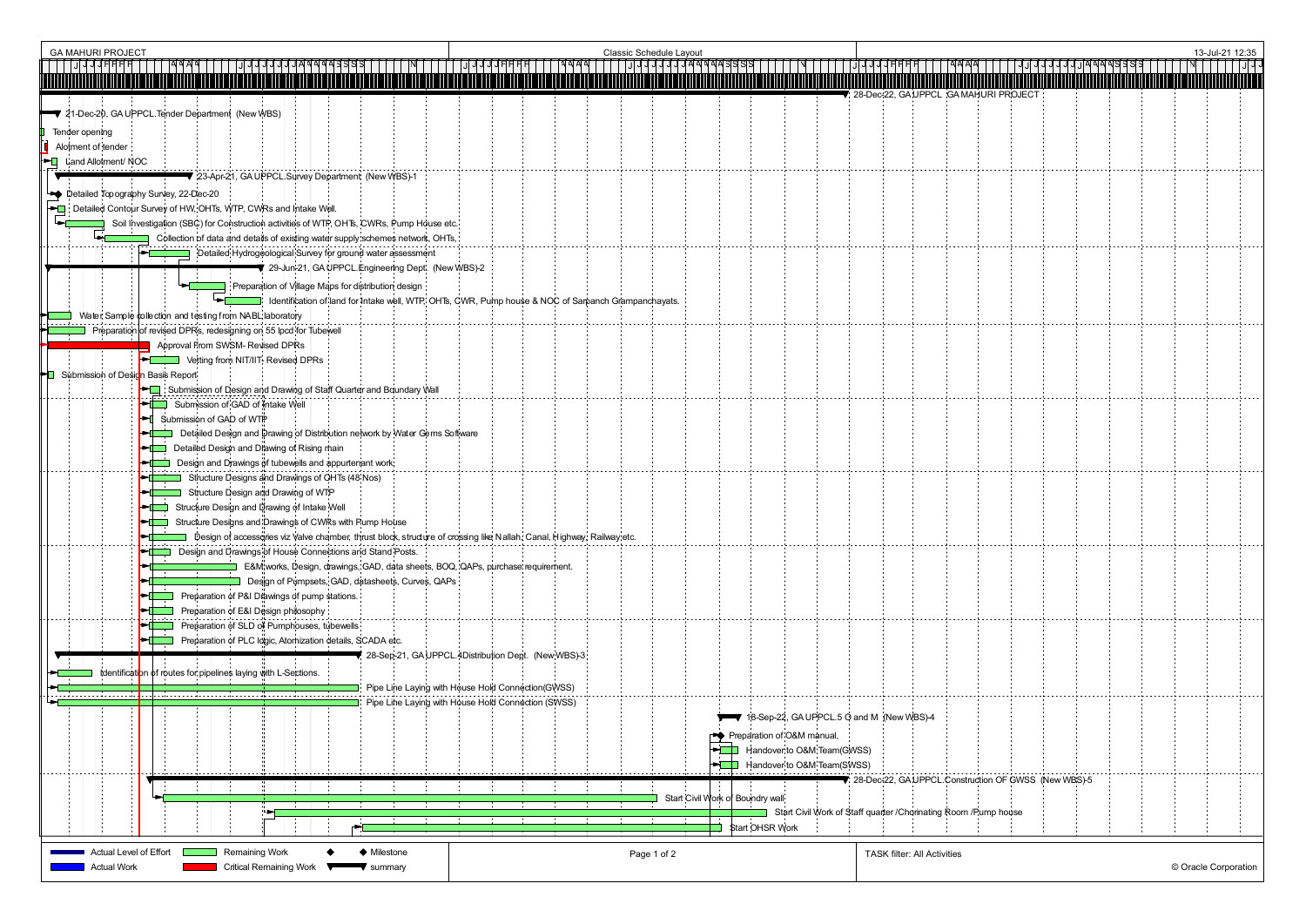| <b>Classic Schedule Layout</b><br><b>GA MAHURI PROJECT</b>                                                                                    | 13-Jul-21 12:35                                                                    |
|-----------------------------------------------------------------------------------------------------------------------------------------------|------------------------------------------------------------------------------------|
|                                                                                                                                               |                                                                                    |
| 21-Dec-20, GA UPPCL Tender Department (New WBS)                                                                                               | 28-Dec-22, GA UPPCL GA MAHURI PROJECT                                              |
| Tender opening                                                                                                                                |                                                                                    |
| Alotment of tender                                                                                                                            |                                                                                    |
| <b>FQ</b> Land Allotment/NOC<br>23-Apr-21, GA UPPCL Survey Department (New WBS)-1                                                             |                                                                                    |
| Detailed Topography Survey, 22-Dec-20                                                                                                         |                                                                                    |
| Detailed Contour Survey of HW, OHTs, WTP, CWRs and Intake Well.                                                                               |                                                                                    |
| Soil Investigation (SBC) for Construction activities of WTP, OHTs, CWRs, Pump House etc.                                                      |                                                                                    |
| Collection of data and details of existing water supply schemes network, OHTs,<br>Detailed Hydrogeological Survey for ground water assessment |                                                                                    |
| ₹ 29-Jun-21, GA UPPCL Engineering Dept. (New WBS)-2                                                                                           |                                                                                    |
| Preparation of Village Maps for distribution design                                                                                           |                                                                                    |
| Identification of land for Intake well, WTP, OHTs, CWR, Pump house & NOC of Sarpanch Grampanchayats.                                          |                                                                                    |
| Water Sample tollection and testing from NABL laboratory<br>Preparation of revised DPRs, redesigning on 55 lpcd for Tubewell                  |                                                                                    |
| Approval From SWSM- Revised DPRs                                                                                                              |                                                                                    |
| Vetting from NIT/IIT- Revised DPRs                                                                                                            |                                                                                    |
| Submission of Design Basis Report<br>Submission of Design and Drawing of Staff Quarter and Boundary Wall                                      |                                                                                    |
| Submission of GAD of Intake Well                                                                                                              |                                                                                    |
| Submission of GAD of WTP                                                                                                                      |                                                                                    |
| Detailed Design and Drawing of Distribution network by Water Gems Software<br>Detailed Design and Diawing of Rising main                      |                                                                                    |
| Design and Drawings of tubewells and appurtenant work.                                                                                        |                                                                                    |
| Structure Designs and Drawings of OHTs (48 Nos)                                                                                               |                                                                                    |
| Structure Design and Drawing of WTP<br>Structure Design and Drawing of Intake Well                                                            |                                                                                    |
| Structure Designs and Drawings of CWRs with Pump House                                                                                        |                                                                                    |
| Design of accessories viz Valve chamber, thrust block, structure of crossing like Nallah, Canal, Highway, Railway etc.                        |                                                                                    |
| Design and Drawings of House Connections and Stand Posts.                                                                                     |                                                                                    |
| E&M works, Design, drawings, GAD, data sheets, BOQ, QAPs, purchase requirement.<br>Design of Pumpsets, GAD, datasheets, Curves, QAPs          |                                                                                    |
| Preparation of P&I Drawings of pump stations.                                                                                                 |                                                                                    |
| Preparation of E&I Design philosophy                                                                                                          |                                                                                    |
| Preparation of SLD of Pumphouses, tubewells<br>Preparation of PLC logic, Atomization details, SCADA etc.                                      |                                                                                    |
| 28-Sep-21, GA UPPCL 4Distribution Dept. (New WBS)-3                                                                                           |                                                                                    |
| Identification of routes for pipelines laying with L-Sections.                                                                                |                                                                                    |
| Pipe Line Laying with House Hold Connection(GWSS)<br>Pipe Line Laying with House Hold Connection (SWSS)                                       |                                                                                    |
|                                                                                                                                               | 18-Sep-22, GA UPPCL 5 O and M (New WBS)-4                                          |
|                                                                                                                                               | Preparation of O&M manual,                                                         |
|                                                                                                                                               | Handover to O&M Team(GWSS)                                                         |
|                                                                                                                                               | Handover to O&M Team(SWSS)<br>28-Dec-22, GA UPPCL Construction OF GWSS (New WBS)-5 |
|                                                                                                                                               | Start Civil Work of Boundry wall                                                   |
|                                                                                                                                               | Start Civil Work of Staff quarter / Chorinating Room / Pump house                  |
|                                                                                                                                               | Start OHSR Work                                                                    |
| Actual Level of Effort<br>Remaining Work<br>♦ Milestone<br>Page 1 of 2                                                                        | <b>TASK filter: All Activities</b>                                                 |
| <b>Actual Work</b><br><b>Critical Remaining Work</b><br>$\blacktriangledown$ summary                                                          | © Oracle Corporation                                                               |

|                      |                   |                        |   |          |  |  | 13-Jul-21 12:35 |                          |
|----------------------|-------------------|------------------------|---|----------|--|--|-----------------|--------------------------|
|                      | J<br>٢            | Ч<br>Ч<br>Ⴣ            | J | ॺॺॺॺॿॿॿॿ |  |  |                 | $\overline{J}$<br>J<br>J |
|                      | <b>RI PROJECT</b> |                        |   |          |  |  |                 |                          |
|                      |                   |                        |   |          |  |  |                 |                          |
|                      |                   |                        |   |          |  |  |                 |                          |
|                      |                   |                        |   |          |  |  |                 |                          |
|                      |                   |                        |   |          |  |  |                 |                          |
|                      |                   |                        |   |          |  |  |                 |                          |
|                      |                   |                        |   |          |  |  |                 |                          |
|                      |                   |                        |   |          |  |  |                 |                          |
|                      |                   |                        |   |          |  |  |                 |                          |
|                      |                   |                        |   |          |  |  |                 |                          |
|                      |                   |                        |   |          |  |  |                 |                          |
|                      |                   |                        |   |          |  |  |                 |                          |
|                      |                   |                        |   |          |  |  |                 |                          |
|                      |                   |                        |   |          |  |  |                 |                          |
|                      |                   |                        |   |          |  |  |                 |                          |
|                      |                   |                        |   |          |  |  |                 |                          |
|                      |                   |                        |   |          |  |  |                 |                          |
|                      |                   |                        |   |          |  |  |                 |                          |
|                      |                   |                        |   |          |  |  |                 |                          |
|                      |                   |                        |   |          |  |  |                 |                          |
|                      |                   |                        |   |          |  |  |                 |                          |
|                      |                   |                        |   |          |  |  |                 |                          |
|                      |                   |                        |   |          |  |  |                 |                          |
|                      |                   |                        |   |          |  |  |                 |                          |
|                      |                   |                        |   |          |  |  |                 |                          |
|                      |                   |                        |   |          |  |  |                 |                          |
|                      |                   |                        |   |          |  |  |                 |                          |
|                      |                   |                        |   |          |  |  |                 |                          |
|                      |                   |                        |   |          |  |  |                 |                          |
|                      |                   |                        |   |          |  |  |                 |                          |
|                      |                   |                        |   |          |  |  |                 |                          |
|                      |                   | on OF GWSS (New WBS)-5 |   |          |  |  |                 |                          |
| np house             |                   |                        |   |          |  |  |                 |                          |
|                      |                   |                        |   |          |  |  |                 |                          |
| © Oracle Corporation |                   |                        |   |          |  |  |                 |                          |